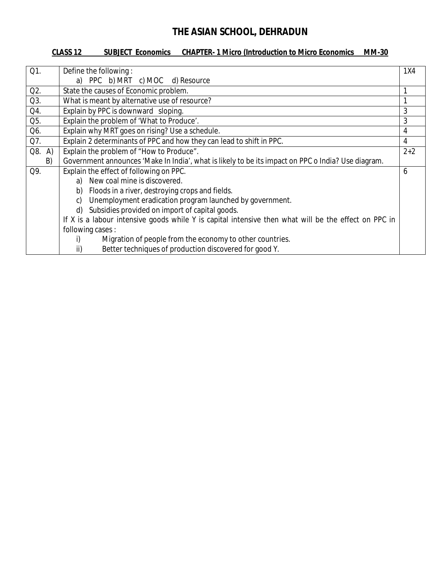#### **CLASS 12 SUBJECT Economics CHAPTER- 1 Micro (Introduction to Micro Economics MM-30**

| Q1.       | Define the following:<br>1X4                                                                         |                |  |  |  |  |
|-----------|------------------------------------------------------------------------------------------------------|----------------|--|--|--|--|
|           | a) PPC b) MRT c) MOC d) Resource                                                                     |                |  |  |  |  |
| $Q2$ .    | State the causes of Economic problem.                                                                |                |  |  |  |  |
| $Q3$ .    | What is meant by alternative use of resource?                                                        |                |  |  |  |  |
| Q4.       | Explain by PPC is downward sloping.                                                                  | 3              |  |  |  |  |
| Q5.       | Explain the problem of 'What to Produce'.                                                            | 3              |  |  |  |  |
| Q6.       | Explain why MRT goes on rising? Use a schedule.                                                      | 4              |  |  |  |  |
| Q7.       | Explain 2 determinants of PPC and how they can lead to shift in PPC.                                 | $\overline{4}$ |  |  |  |  |
| Q8.<br>A) | Explain the problem of "How to Produce".<br>$2+2$                                                    |                |  |  |  |  |
| B)        | Government announces 'Make In India', what is likely to be its impact on PPC o India? Use diagram.   |                |  |  |  |  |
| Q9.       | Explain the effect of following on PPC.                                                              | 6              |  |  |  |  |
|           | a) New coal mine is discovered.                                                                      |                |  |  |  |  |
|           | Floods in a river, destroying crops and fields.<br>b)                                                |                |  |  |  |  |
|           | Unemployment eradication program launched by government.<br>C)                                       |                |  |  |  |  |
|           | Subsidies provided on import of capital goods.<br>d)                                                 |                |  |  |  |  |
|           | If X is a labour intensive goods while Y is capital intensive then what will be the effect on PPC in |                |  |  |  |  |
|           | following cases:                                                                                     |                |  |  |  |  |
|           | Migration of people from the economy to other countries.<br>i)                                       |                |  |  |  |  |
|           | Better techniques of production discovered for good Y.<br>ii)                                        |                |  |  |  |  |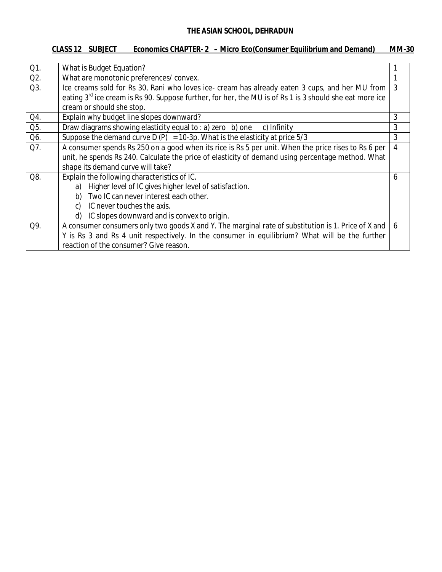## **CLASS 12 SUBJECT Economics CHAPTER- 2 – Micro Eco(Consumer Equilibrium and Demand) MM-30**

| Q1.    | What is Budget Equation?                                                                                              |                |  |  |  |  |
|--------|-----------------------------------------------------------------------------------------------------------------------|----------------|--|--|--|--|
| $Q2$ . | What are monotonic preferences/convex.                                                                                |                |  |  |  |  |
| Q3.    | Ice creams sold for Rs 30, Rani who loves ice- cream has already eaten 3 cups, and her MU from                        | 3              |  |  |  |  |
|        | eating 3 <sup>rd</sup> ice cream is Rs 90. Suppose further, for her, the MU is of Rs 1 is 3 should she eat more ice   |                |  |  |  |  |
|        | cream or should she stop.                                                                                             |                |  |  |  |  |
| Q4.    | Explain why budget line slopes downward?                                                                              | 3              |  |  |  |  |
| Q5.    | Draw diagrams showing elasticity equal to : a) zero b) one<br>c) Infinity                                             | 3              |  |  |  |  |
| Q6.    | Suppose the demand curve D (P) = 10-3p. What is the elasticity at price $5/3$                                         | 3              |  |  |  |  |
| Q7.    | A consumer spends Rs 250 on a good when its rice is Rs 5 per unit. When the price rises to Rs 6 per<br>$\overline{4}$ |                |  |  |  |  |
|        | unit, he spends Rs 240. Calculate the price of elasticity of demand using percentage method. What                     |                |  |  |  |  |
|        | shape its demand curve will take?                                                                                     |                |  |  |  |  |
| Q8.    | Explain the following characteristics of IC.                                                                          | 6              |  |  |  |  |
|        | Higher level of IC gives higher level of satisfaction.<br>a)                                                          |                |  |  |  |  |
|        | Two IC can never interest each other.<br>b)                                                                           |                |  |  |  |  |
|        | IC never touches the axis.<br>C)                                                                                      |                |  |  |  |  |
|        | IC slopes downward and is convex to origin.<br>d)                                                                     |                |  |  |  |  |
| Q9.    | A consumer consumers only two goods X and Y. The marginal rate of substitution is 1. Price of X and                   | $\overline{6}$ |  |  |  |  |
|        | Y is Rs 3 and Rs 4 unit respectively. In the consumer in equilibrium? What will be the further                        |                |  |  |  |  |
|        | reaction of the consumer? Give reason.                                                                                |                |  |  |  |  |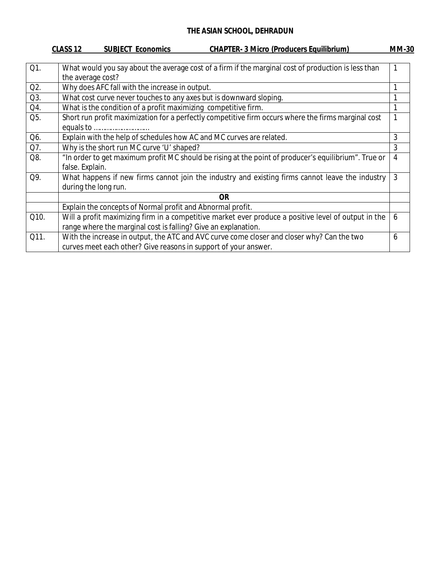|      | CLASS <sub>12</sub><br><b>CHAPTER- 3 Micro (Producers Equilibrium)</b><br><b>SUBJECT Economics</b>   | <b>MM-30</b>   |
|------|------------------------------------------------------------------------------------------------------|----------------|
|      |                                                                                                      |                |
| Q1.  | What would you say about the average cost of a firm if the marginal cost of production is less than  |                |
|      | the average cost?                                                                                    |                |
| Q2.  | Why does AFC fall with the increase in output.                                                       |                |
| Q3.  | What cost curve never touches to any axes but is downward sloping.                                   |                |
| Q4.  | What is the condition of a profit maximizing competitive firm.                                       |                |
| Q5.  | Short run profit maximization for a perfectly competitive firm occurs where the firms marginal cost  |                |
|      |                                                                                                      |                |
| Q6.  | Explain with the help of schedules how AC and MC curves are related.                                 | 3              |
| Q7.  | Why is the short run MC curve 'U' shaped?                                                            | 3              |
| Q8.  | "In order to get maximum profit MC should be rising at the point of producer's equilibrium". True or | $\overline{4}$ |
|      | false. Explain.                                                                                      |                |
| Q9.  | What happens if new firms cannot join the industry and existing firms cannot leave the industry      | 3              |
|      | during the long run.                                                                                 |                |
|      | <b>OR</b>                                                                                            |                |
|      | Explain the concepts of Normal profit and Abnormal profit.                                           |                |
| Q10. | Will a profit maximizing firm in a competitive market ever produce a positive level of output in the | 6              |
|      | range where the marginal cost is falling? Give an explanation.                                       |                |
| Q11. | With the increase in output, the ATC and AVC curve come closer and closer why? Can the two           | 6              |
|      | curves meet each other? Give reasons in support of your answer.                                      |                |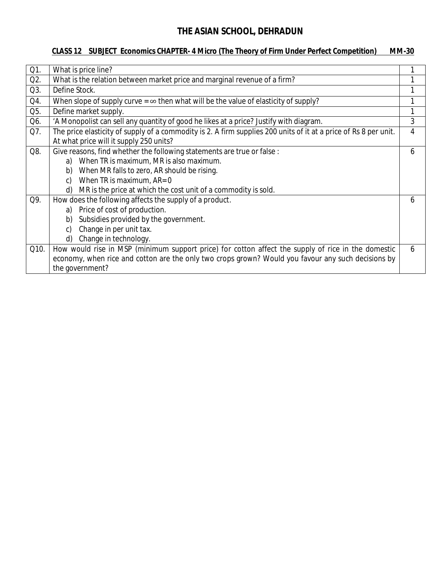### **CLASS 12 SUBJECT Economics CHAPTER- 4 Micro (The Theory of Firm Under Perfect Competition) MM-30**

| Q1.  | What is price line?                                                                                                                                         |   |
|------|-------------------------------------------------------------------------------------------------------------------------------------------------------------|---|
| Q2.  | What is the relation between market price and marginal revenue of a firm?                                                                                   |   |
| Q3.  | Define Stock.                                                                                                                                               |   |
| Q4.  | When slope of supply curve = $\infty$ then what will be the value of elasticity of supply?                                                                  |   |
| Q5.  | Define market supply.                                                                                                                                       |   |
| Q6.  | 'A Monopolist can sell any quantity of good he likes at a price? Justify with diagram.                                                                      | 3 |
| Q7.  | The price elasticity of supply of a commodity is 2. A firm supplies 200 units of it at a price of Rs 8 per unit.<br>At what price will it supply 250 units? | 4 |
| Q8.  | Give reasons, find whether the following statements are true or false :                                                                                     | b |
|      | When TR is maximum, MR is also maximum.<br>a)                                                                                                               |   |
|      | When MR falls to zero, AR should be rising.<br>b)                                                                                                           |   |
|      | When TR is maximum, AR= 0<br>$\mathcal{C}$                                                                                                                  |   |
|      | MR is the price at which the cost unit of a commodity is sold.<br>d)                                                                                        |   |
| Q9.  | How does the following affects the supply of a product.                                                                                                     | 6 |
|      | Price of cost of production.<br>a)                                                                                                                          |   |
|      | Subsidies provided by the government.<br>b)                                                                                                                 |   |
|      | Change in per unit tax.<br>C)                                                                                                                               |   |
|      | Change in technology.<br>d)                                                                                                                                 |   |
| Q10. | How would rise in MSP (minimum support price) for cotton affect the supply of rice in the domestic                                                          | 6 |
|      | economy, when rice and cotton are the only two crops grown? Would you favour any such decisions by                                                          |   |
|      | the government?                                                                                                                                             |   |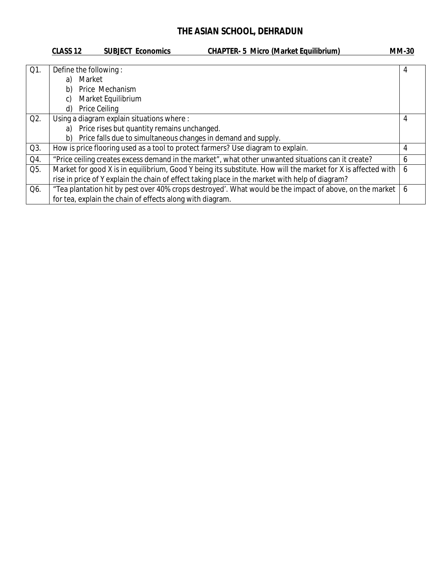|        | <b>CHAPTER- 5 Micro (Market Equilibrium)</b><br>CLASS <sub>12</sub><br><b>SUBJECT Economics</b>              | <b>MM-30</b> |
|--------|--------------------------------------------------------------------------------------------------------------|--------------|
|        |                                                                                                              |              |
| $Q1$ . | Define the following:                                                                                        | 4            |
|        | Market<br>a)                                                                                                 |              |
|        | Price Mechanism<br>b)                                                                                        |              |
|        | Market Equilibrium<br>C)                                                                                     |              |
|        | Price Ceiling<br>d)                                                                                          |              |
| Q2.    | Using a diagram explain situations where :                                                                   | 4            |
|        | Price rises but quantity remains unchanged.<br>a)                                                            |              |
|        | Price falls due to simultaneous changes in demand and supply.<br>b)                                          |              |
| Q3.    | How is price flooring used as a tool to protect farmers? Use diagram to explain.                             | 4            |
| Q4.    | "Price ceiling creates excess demand in the market", what other unwanted situations can it create?           | 6            |
| Q5.    | Market for good X is in equilibrium, Good Y being its substitute. How will the market for X is affected with | 6            |
|        | rise in price of Y explain the chain of effect taking place in the market with help of diagram?              |              |
| Q6.    | "Tea plantation hit by pest over 40% crops destroyed'. What would be the impact of above, on the market      | 6            |
|        | for tea, explain the chain of effects along with diagram.                                                    |              |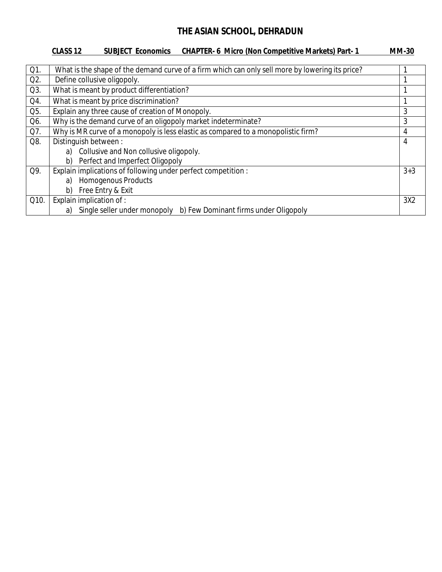### **CLASS 12 SUBJECT Economics CHAPTER- 6 Micro (Non Competitive Markets) Part- 1 MM-30**

| Q1.              | What is the shape of the demand curve of a firm which can only sell more by lowering its price? |         |  |  |  |  |
|------------------|-------------------------------------------------------------------------------------------------|---------|--|--|--|--|
| Q <sub>2</sub> . | Define collusive oligopoly.                                                                     |         |  |  |  |  |
| Q3.              | What is meant by product differentiation?                                                       |         |  |  |  |  |
| Q4.              | What is meant by price discrimination?                                                          |         |  |  |  |  |
| Q5.              | Explain any three cause of creation of Monopoly.                                                | 3       |  |  |  |  |
| Q6.              | Why is the demand curve of an oligopoly market indeterminate?                                   | 3       |  |  |  |  |
| Q7.              | Why is MR curve of a monopoly is less elastic as compared to a monopolistic firm?               | 4       |  |  |  |  |
| Q8.              | Distinguish between:                                                                            | 4       |  |  |  |  |
|                  | a) Collusive and Non collusive oligopoly.                                                       |         |  |  |  |  |
|                  | Perfect and Imperfect Oligopoly<br>b)                                                           |         |  |  |  |  |
| Q9.              | Explain implications of following under perfect competition :                                   | $3 + 3$ |  |  |  |  |
|                  | <b>Homogenous Products</b><br>a)                                                                |         |  |  |  |  |
|                  | Free Entry & Exit<br>b)                                                                         |         |  |  |  |  |
| Q10.             | Explain implication of :                                                                        | 3X2     |  |  |  |  |
|                  | Single seller under monopoly b) Few Dominant firms under Oligopoly<br>a)                        |         |  |  |  |  |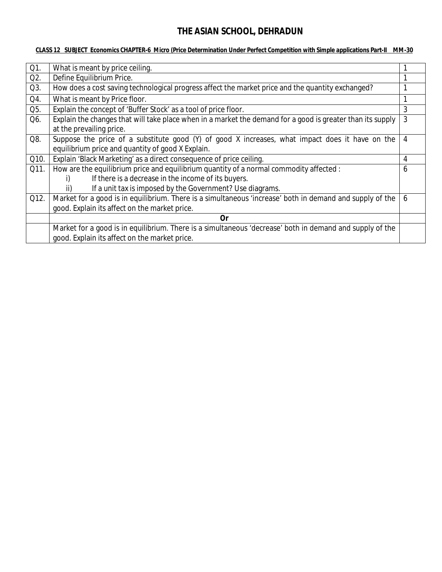#### **CLASS 12 SUBJECT Economics CHAPTER-6 Micro (Price Determination Under Perfect Competition with Simple applications Part-II MM-30**

| Q1.              | What is meant by price ceiling.                                                                            |   |  |  |
|------------------|------------------------------------------------------------------------------------------------------------|---|--|--|
| Q <sub>2</sub> . | Define Equilibrium Price.                                                                                  |   |  |  |
| Q3.              | How does a cost saving technological progress affect the market price and the quantity exchanged?          |   |  |  |
| Q4.              | What is meant by Price floor.                                                                              |   |  |  |
| Q5.              | Explain the concept of 'Buffer Stock' as a tool of price floor.                                            | 3 |  |  |
| Q6.              | Explain the changes that will take place when in a market the demand for a good is greater than its supply | 3 |  |  |
|                  | at the prevailing price.                                                                                   |   |  |  |
| Q8.              | Suppose the price of a substitute good (Y) of good X increases, what impact does it have on the            | 4 |  |  |
|                  | equilibrium price and quantity of good X Explain.                                                          |   |  |  |
| Q10.             | Explain 'Black Marketing' as a direct consequence of price ceiling.                                        | 4 |  |  |
| Q11.             | How are the equilibrium price and equilibrium quantity of a normal commodity affected :                    | 6 |  |  |
|                  | If there is a decrease in the income of its buyers.                                                        |   |  |  |
|                  | If a unit tax is imposed by the Government? Use diagrams.<br>ii)                                           |   |  |  |
| Q12.             | Market for a good is in equilibrium. There is a simultaneous 'increase' both in demand and supply of the   | 6 |  |  |
|                  | good. Explain its affect on the market price.                                                              |   |  |  |
|                  | 0r                                                                                                         |   |  |  |
|                  | Market for a good is in equilibrium. There is a simultaneous 'decrease' both in demand and supply of the   |   |  |  |
|                  | good. Explain its affect on the market price.                                                              |   |  |  |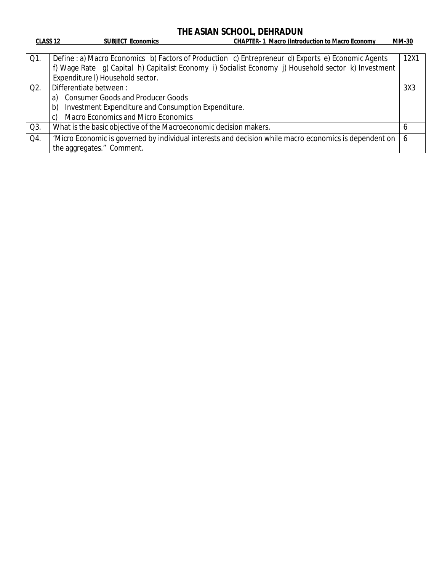| <b>CLASS 12</b>  | <b>SUBJECT Economics</b>                                                                                                                                                                                                                       | <b>CHAPTER-1 Macro (Introduction to Macro Economy</b> | <b>MM-30</b> |
|------------------|------------------------------------------------------------------------------------------------------------------------------------------------------------------------------------------------------------------------------------------------|-------------------------------------------------------|--------------|
| Q1.              | Define : a) Macro Economics b) Factors of Production c) Entrepreneur d) Exports e) Economic Agents<br>f) Wage Rate g) Capital h) Capitalist Economy i) Socialist Economy j) Household sector k) Investment<br>Expenditure I) Household sector. |                                                       | 12X1         |
| Q <sub>2</sub> . | Differentiate between:                                                                                                                                                                                                                         |                                                       | 3X3          |
|                  | a) Consumer Goods and Producer Goods                                                                                                                                                                                                           |                                                       |              |
|                  | Investment Expenditure and Consumption Expenditure.<br>b)                                                                                                                                                                                      |                                                       |              |
|                  | <b>Macro Economics and Micro Economics</b><br>C)                                                                                                                                                                                               |                                                       |              |
| Q3.              | What is the basic objective of the Macroeconomic decision makers.                                                                                                                                                                              |                                                       | b            |
| Q4.              | 'Micro Economic is governed by individual interests and decision while macro economics is dependent on                                                                                                                                         |                                                       | $\sigma$     |
|                  | the aggregates." Comment.                                                                                                                                                                                                                      |                                                       |              |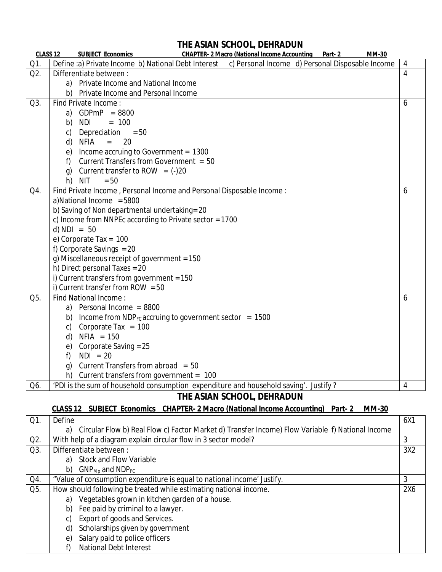| CLASS <sub>12</sub> | <b>SUBJECT Economics</b><br><b>CHAPTER- 2 Macro (National Income Accounting Part- 2</b><br><b>MM-30</b>      |  |  |  |  |  |
|---------------------|--------------------------------------------------------------------------------------------------------------|--|--|--|--|--|
| Q1.                 | c) Personal Income d) Personal Disposable Income<br>Define :a) Private Income b) National Debt Interest<br>4 |  |  |  |  |  |
| Q2.                 | $\overline{4}$<br>Differentiate between :                                                                    |  |  |  |  |  |
|                     | a) Private Income and National Income                                                                        |  |  |  |  |  |
|                     | b) Private Income and Personal Income                                                                        |  |  |  |  |  |
| Q3.                 | Find Private Income:<br>6                                                                                    |  |  |  |  |  |
|                     | $GDPmP = 8800$<br>a)                                                                                         |  |  |  |  |  |
|                     | $= 100$<br>NDI<br>b)                                                                                         |  |  |  |  |  |
|                     | Depreciation $= 50$<br>C)                                                                                    |  |  |  |  |  |
|                     | NFIA<br>20<br>d)<br>$=$                                                                                      |  |  |  |  |  |
|                     | Income accruing to Government = 1300<br>e)                                                                   |  |  |  |  |  |
|                     | Current Transfers from Government = 50<br>f)                                                                 |  |  |  |  |  |
|                     | Current transfer to ROW = $(-)20$<br>q)                                                                      |  |  |  |  |  |
|                     | <b>NIT</b><br>h)<br>$= 50$                                                                                   |  |  |  |  |  |
| Q4.                 | Find Private Income, Personal Income and Personal Disposable Income:<br>6                                    |  |  |  |  |  |
|                     | a)National Income = 5800                                                                                     |  |  |  |  |  |
|                     | b) Saving of Non departmental undertaking= 20                                                                |  |  |  |  |  |
|                     | c) Income from NNPEc according to Private sector = 1700                                                      |  |  |  |  |  |
|                     | d) $NDI = 50$                                                                                                |  |  |  |  |  |
|                     | e) Corporate Tax = $100$                                                                                     |  |  |  |  |  |
|                     | f) Corporate Savings $= 20$                                                                                  |  |  |  |  |  |
|                     | g) Miscellaneous receipt of government = 150                                                                 |  |  |  |  |  |
|                     | h) Direct personal Taxes = 20                                                                                |  |  |  |  |  |
|                     | i) Current transfers from government = $150$                                                                 |  |  |  |  |  |
|                     | i) Current transfer from ROW = $50$                                                                          |  |  |  |  |  |
| Q5.                 | Find National Income:<br>6                                                                                   |  |  |  |  |  |
|                     | Personal Income = 8800<br>a)                                                                                 |  |  |  |  |  |
|                     | Income from $NDP_{FC}$ accruing to government sector = 1500<br>b)                                            |  |  |  |  |  |
|                     | Corporate Tax = $100$<br>$\mathsf{C}$                                                                        |  |  |  |  |  |
|                     | $NFIA = 150$<br>d)                                                                                           |  |  |  |  |  |
|                     | Corporate Saving = 25<br>e)                                                                                  |  |  |  |  |  |
|                     | $NDI = 20$<br>f)                                                                                             |  |  |  |  |  |
|                     | Current Transfers from abroad = 50<br>q)                                                                     |  |  |  |  |  |
|                     | Current transfers from government = $100$<br>h)                                                              |  |  |  |  |  |
| Q6.                 | 'PDI is the sum of household consumption expenditure and household saving'. Justify?<br>4                    |  |  |  |  |  |

**THE ASIAN SCHOOL, DEHRADUN**

# **CLASS 12 SUBJECT Economics CHAPTER- 2 Macro (National Income Accounting) Part- 2 MM-30**

| Q1.    | Define                                                            |                                                                                                  | 6X1 |  |  |
|--------|-------------------------------------------------------------------|--------------------------------------------------------------------------------------------------|-----|--|--|
|        | a)                                                                | Circular Flow b) Real Flow c) Factor Market d) Transfer Income) Flow Variable f) National Income |     |  |  |
| $Q2$ . |                                                                   | With help of a diagram explain circular flow in 3 sector model?                                  | 3   |  |  |
| Q3.    |                                                                   | 3X2<br>Differentiate between:                                                                    |     |  |  |
|        | a)                                                                | <b>Stock and Flow Variable</b>                                                                   |     |  |  |
|        | b)                                                                | $GNPMb$ and $NDPFC$                                                                              |     |  |  |
| Q4.    |                                                                   | "Value of consumption expenditure is equal to national income' Justify.                          | 3   |  |  |
| Q5.    | How should following be treated while estimating national income. |                                                                                                  | 2X6 |  |  |
|        | a)                                                                | Vegetables grown in kitchen garden of a house.                                                   |     |  |  |
|        | b)                                                                | Fee paid by criminal to a lawyer.                                                                |     |  |  |
|        | C)                                                                | Export of goods and Services.                                                                    |     |  |  |
|        | d)                                                                | Scholarships given by government                                                                 |     |  |  |
|        | $\epsilon$                                                        | Salary paid to police officers                                                                   |     |  |  |
|        |                                                                   | <b>National Debt Interest</b>                                                                    |     |  |  |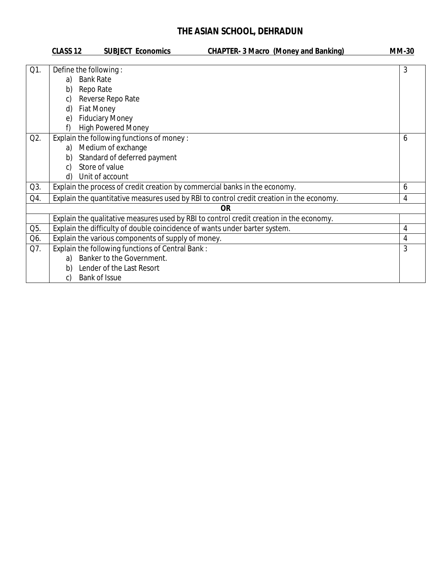|     | CLASS <sub>12</sub>                                                                                                                                            | <b>SUBJECT Economics</b>                                                                                   | <b>CHAPTER- 3 Macro (Money and Banking)</b>                                              | <b>MM-30</b> |
|-----|----------------------------------------------------------------------------------------------------------------------------------------------------------------|------------------------------------------------------------------------------------------------------------|------------------------------------------------------------------------------------------|--------------|
| Q1. | Define the following:<br><b>Bank Rate</b><br>a)<br>Repo Rate<br>b)<br>Reverse Repo Rate<br>C)<br><b>Fiat Money</b><br>d)<br><b>Fiduciary Money</b><br>e)<br>f) | <b>High Powered Money</b>                                                                                  |                                                                                          | 3            |
| Q2. | Medium of exchange<br>a)<br>b)<br>Store of value<br>C)<br>Unit of account<br>d)                                                                                | Explain the following functions of money:<br>Standard of deferred payment                                  |                                                                                          | 6            |
| Q3. |                                                                                                                                                                |                                                                                                            | Explain the process of credit creation by commercial banks in the economy.               | 6            |
| Q4. |                                                                                                                                                                |                                                                                                            | Explain the quantitative measures used by RBI to control credit creation in the economy. | 4            |
|     |                                                                                                                                                                |                                                                                                            | 0R                                                                                       |              |
|     |                                                                                                                                                                |                                                                                                            | Explain the qualitative measures used by RBI to control credit creation in the economy.  |              |
| Q5. |                                                                                                                                                                |                                                                                                            | Explain the difficulty of double coincidence of wants under barter system.               | 4            |
| Q6. |                                                                                                                                                                | Explain the various components of supply of money.                                                         |                                                                                          | 4            |
| Q7. | a)<br>b)<br><b>Bank of Issue</b><br>C)                                                                                                                         | Explain the following functions of Central Bank:<br>Banker to the Government.<br>Lender of the Last Resort |                                                                                          | 3            |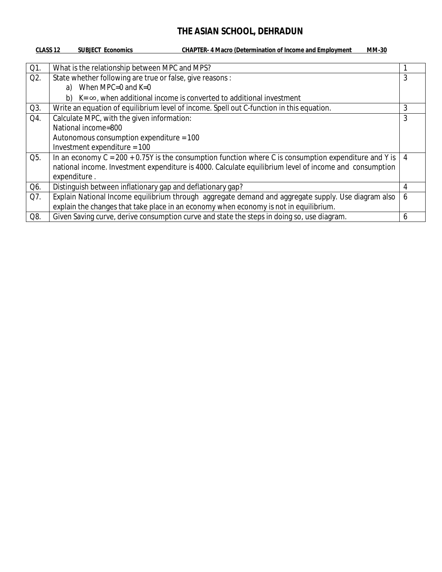| CLASS <sub>12</sub> | <b>CHAPTER-4 Macro (Determination of Income and Employment</b><br><b>SUBJECT Economics</b><br><b>MM-30</b> |   |
|---------------------|------------------------------------------------------------------------------------------------------------|---|
|                     |                                                                                                            |   |
| Q1.                 | What is the relationship between MPC and MPS?                                                              |   |
| Q2.                 | State whether following are true or false, give reasons :                                                  | 3 |
|                     | a) When MPC=0 and $K=0$                                                                                    |   |
|                     | $K = \infty$ , when additional income is converted to additional investment<br>b)                          |   |
| Q3.                 | Write an equation of equilibrium level of income. Spell out C-function in this equation.                   | 3 |
| Q4.                 | Calculate MPC, with the given information:                                                                 | 3 |
|                     | National income=800                                                                                        |   |
|                     | Autonomous consumption expenditure = $100$                                                                 |   |
|                     | Investment expenditure = $100$                                                                             |   |
| Q5.                 | In an economy $C = 200 + 0.75Y$ is the consumption function where C is consumption expenditure and Y is    | 4 |
|                     | national income. Investment expenditure is 4000. Calculate equilibrium level of income and consumption     |   |
|                     | expenditure.                                                                                               |   |
| Q6.                 | Distinguish between inflationary gap and deflationary gap?                                                 | 4 |
| Q7.                 | Explain National Income equilibrium through aggregate demand and aggregate supply. Use diagram also        | 6 |
|                     | explain the changes that take place in an economy when economy is not in equilibrium.                      |   |
| Q8.                 | Given Saving curve, derive consumption curve and state the steps in doing so, use diagram.                 | 6 |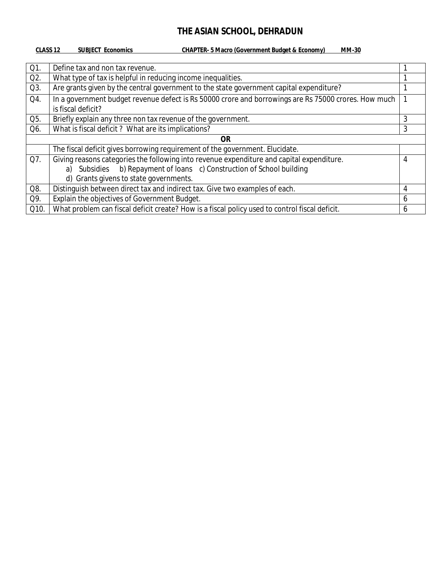#### **CLASS 12 SUBJECT Economics CHAPTER- 5 Macro (Government Budget & Economy) MM-30**

| Q1.              | Define tax and non tax revenue.                                                                                            |   |  |
|------------------|----------------------------------------------------------------------------------------------------------------------------|---|--|
| Q <sub>2</sub> . | What type of tax is helpful in reducing income inequalities.                                                               |   |  |
| Q3.              | Are grants given by the central government to the state government capital expenditure?                                    |   |  |
| Q4.              | In a government budget revenue defect is Rs 50000 crore and borrowings are Rs 75000 crores. How much<br>is fiscal deficit? |   |  |
| Q5.              | Briefly explain any three non tax revenue of the government.                                                               | 3 |  |
| Q6.              | What is fiscal deficit? What are its implications?                                                                         | 3 |  |
| <b>OR</b>        |                                                                                                                            |   |  |
|                  | The fiscal deficit gives borrowing requirement of the government. Elucidate.                                               |   |  |
| Q7.              | Giving reasons categories the following into revenue expenditure and capital expenditure.                                  | 4 |  |
|                  | a) Subsidies b) Repayment of Ioans c) Construction of School building                                                      |   |  |
|                  | d) Grants givens to state governments.                                                                                     |   |  |
| Q8.              | Distinguish between direct tax and indirect tax. Give two examples of each.                                                | 4 |  |
| Q9.              | Explain the objectives of Government Budget.                                                                               | 6 |  |
| Q10.             | What problem can fiscal deficit create? How is a fiscal policy used to control fiscal deficit.                             | h |  |
|                  |                                                                                                                            |   |  |